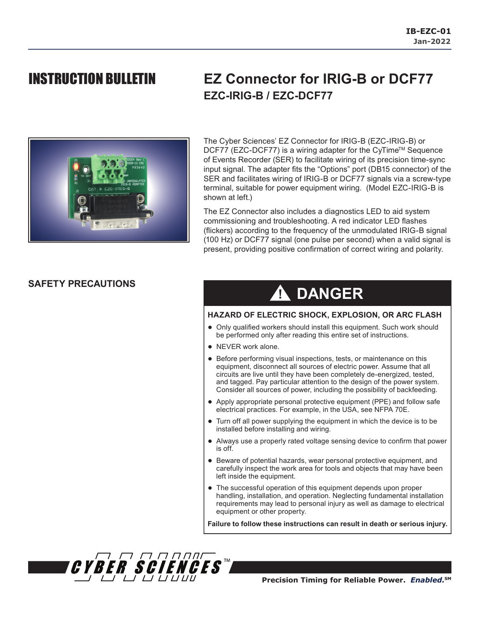

## INSTRUCTION BULLETIN **EZ Connector for IRIG-B or DCF77 EZC-IRIG-B / EZC-DCF77**

The Cyber Sciences' EZ Connector for IRIG-B (EZC-IRIG-B) or DCF77 (EZC-DCF77) is a wiring adapter for the CyTime<sup>™</sup> Sequence of Events Recorder (SER) to facilitate wiring of its precision time-sync input signal. The adapter fits the "Options" port (DB15 connector) of the SER and facilitates wiring of IRIG-B or DCF77 signals via a screw-type terminal, suitable for power equipment wiring. (Model EZC-IRIG-B is shown at left.)

The EZ Connector also includes a diagnostics LED to aid system commissioning and troubleshooting. A red indicator LED flashes (flickers) according to the frequency of the unmodulated IRIG-B signal (100 Hz) or DCF77 signal (one pulse per second) when a valid signal is present, providing positive confirmation of correct wiring and polarity.

### **SAFETY PRECAUTIONS**

# **! DANGER**

### **HAZARD OF ELECTRIC SHOCK, EXPLOSION, OR ARC FLASH**

- Only qualified workers should install this equipment. Such work should be performed only after reading this entire set of instructions.
- NEVER work alone.
- Before performing visual inspections, tests, or maintenance on this equipment, disconnect all sources of electric power. Assume that all circuits are live until they have been completely de-energized, tested, and tagged. Pay particular attention to the design of the power system. Consider all sources of power, including the possibility of backfeeding.
- Apply appropriate personal protective equipment (PPE) and follow safe electrical practices. For example, in the USA, see NFPA 70E.
- Turn off all power supplying the equipment in which the device is to be installed before installing and wiring.
- Always use a properly rated voltage sensing device to confirm that power is off.
- Beware of potential hazards, wear personal protective equipment, and carefully inspect the work area for tools and objects that may have been left inside the equipment.
- The successful operation of this equipment depends upon proper handling, installation, and operation. Neglecting fundamental installation requirements may lead to personal injury as well as damage to electrical equipment or other property.

**Failure to follow these instructions can result in death or serious injury.**